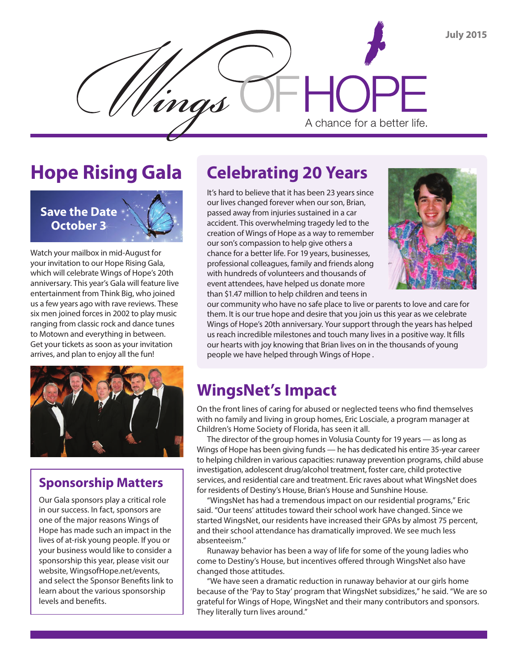

# **Hope Rising Gala**

### **Save the Date October 3**



Watch your mailbox in mid-August for your invitation to our Hope Rising Gala, which will celebrate Wings of Hope's 20th anniversary. This year's Gala will feature live entertainment from Think Big, who joined us a few years ago with rave reviews. These six men joined forces in 2002 to play music ranging from classic rock and dance tunes to Motown and everything in between. Get your tickets as soon as your invitation arrives, and plan to enjoy all the fun!



### **Sponsorship Matters**

Our Gala sponsors play a critical role in our success. In fact, sponsors are one of the major reasons Wings of Hope has made such an impact in the lives of at-risk young people. If you or your business would like to consider a sponsorship this year, please visit our website, WingsofHope.net/events, and select the Sponsor Benefits link to learn about the various sponsorship levels and benefits.

# **Celebrating 20 Years**

It's hard to believe that it has been 23 years since our lives changed forever when our son, Brian, passed away from injuries sustained in a car accident. This overwhelming tragedy led to the creation of Wings of Hope as a way to remember our son's compassion to help give others a chance for a better life. For 19 years, businesses, professional colleagues, family and friends along with hundreds of volunteers and thousands of event attendees, have helped us donate more than \$1.47 million to help children and teens in



our community who have no safe place to live or parents to love and care for them. It is our true hope and desire that you join us this year as we celebrate Wings of Hope's 20th anniversary. Your support through the years has helped us reach incredible milestones and touch many lives in a positive way. It fills our hearts with joy knowing that Brian lives on in the thousands of young people we have helped through Wings of Hope .

## **WingsNet's Impact**

On the front lines of caring for abused or neglected teens who find themselves with no family and living in group homes, Eric Losciale, a program manager at Children's Home Society of Florida, has seen it all.

The director of the group homes in Volusia County for 19 years — as long as Wings of Hope has been giving funds — he has dedicated his entire 35-year career to helping children in various capacities: runaway prevention programs, child abuse investigation, adolescent drug/alcohol treatment, foster care, child protective services, and residential care and treatment. Eric raves about what WingsNet does for residents of Destiny's House, Brian's House and Sunshine House.

"WingsNet has had a tremendous impact on our residential programs," Eric said. "Our teens' attitudes toward their school work have changed. Since we started WingsNet, our residents have increased their GPAs by almost 75 percent, and their school attendance has dramatically improved. We see much less absenteeism."

Runaway behavior has been a way of life for some of the young ladies who come to Destiny's House, but incentives offered through WingsNet also have changed those attitudes.

"We have seen a dramatic reduction in runaway behavior at our girls home because of the 'Pay to Stay' program that WingsNet subsidizes," he said. "We are so grateful for Wings of Hope, WingsNet and their many contributors and sponsors. They literally turn lives around."